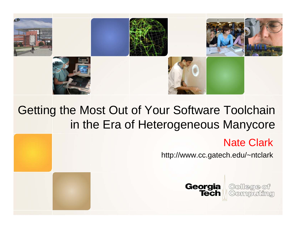

#### Getting the Most Out of Your Software Toolchain in the Era of Heterogeneous Manycore

#### Nate Clark

http://www.cc.gatech.edu/~ntclark



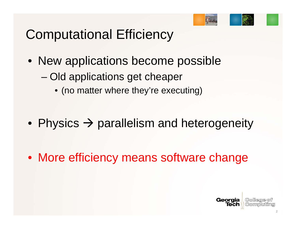

# Computational Efficiency

- New applications become possible – Old applications get cheaper
	- (no matter where they're executing)
- Physics  $\rightarrow$  parallelism and heterogeneity

• More efficiency means software change

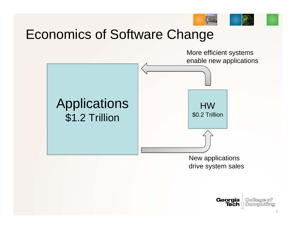

#### Economics of Software Change



New applications drive system sales

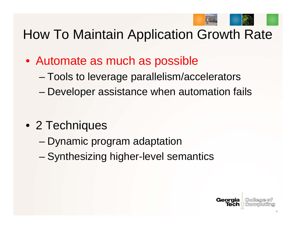

### How To Maintain Application Growth Rate

- Automate as much as possible
	- Tools to leverage parallelism/accelerators
	- Developer assistance when automation fails

- 2 Techniques
	- Dynamic program adaptation
	- Synthesizing higher-level semantics

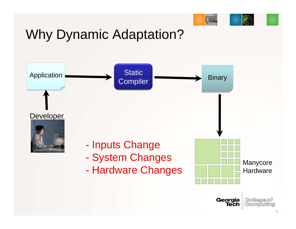

# Why Dynamic Adaptation?

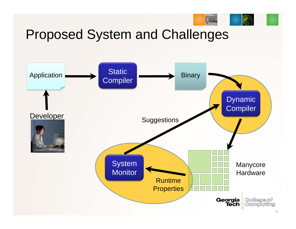

#### Proposed System and Challenges

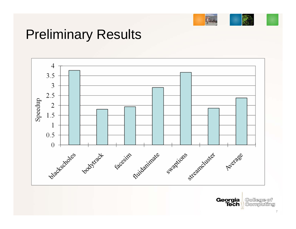

### Preliminary Results



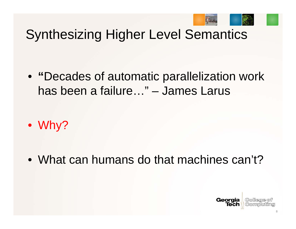

#### Synthesizing Higher Level Semantics

• **"**Decades of automatic parallelization work has been a failure…" – James Larus

• Why?

• What can humans do that machines can't?

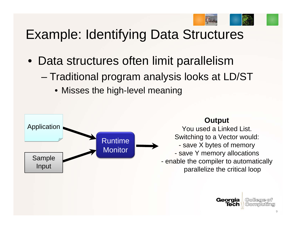

### Example: Identifying Data Structures

- Data structures often limit parallelism
	- Traditional program analysis looks at LD/ST
		- Misses the high-level meaning



#### **Output**

You used a Linked List.Switching to a Vector would:

- save X bytes of memory
- save Y memory allocations
- enable the compiler to automatically parallelize the critical loop

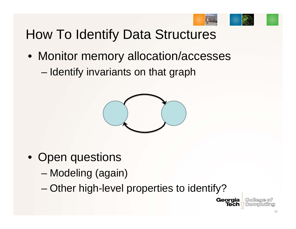

Georgia

Tech

### How To Identify Data Structures

• Monitor memory allocation/accesses – Identify invariants on that graph



- Open questions
	- Modeling (again)
	- Other high-level properties to identify?

(Collegge of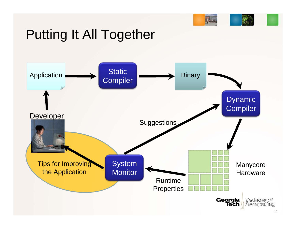# Putting It All Together